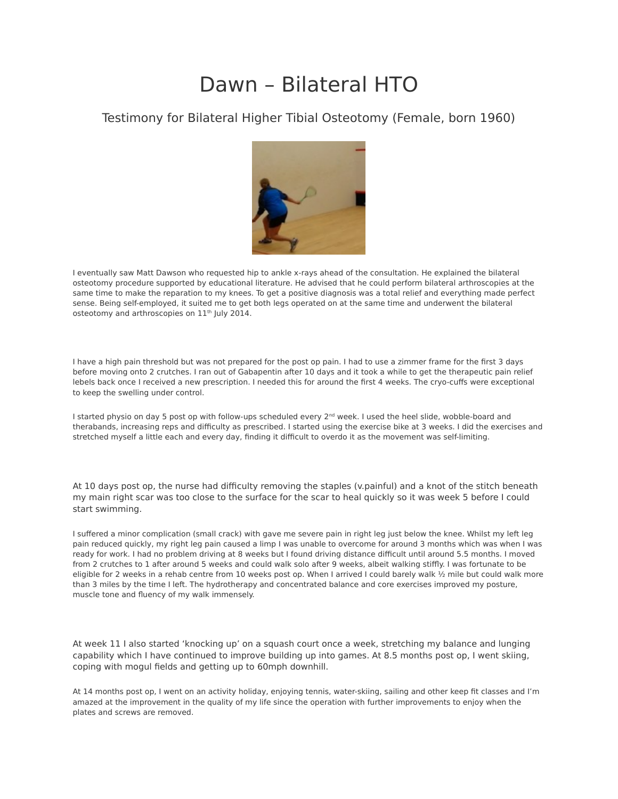## Dawn – Bilateral HTO

## Testimony for Bilateral Higher Tibial Osteotomy (Female, born 1960)



I eventually saw Matt Dawson who requested hip to ankle x-rays ahead of the consultation. He explained the bilateral osteotomy procedure supported by educational literature. He advised that he could perform bilateral arthroscopies at the same time to make the reparation to my knees. To get a positive diagnosis was a total relief and everything made perfect sense. Being self-employed, it suited me to get both legs operated on at the same time and underwent the bilateral osteotomy and arthroscopies on 11<sup>th</sup> July 2014.

I have a high pain threshold but was not prepared for the post op pain. I had to use a zimmer frame for the first 3 days before moving onto 2 crutches. I ran out of Gabapentin after 10 days and it took a while to get the therapeutic pain relief lebels back once I received a new prescription. I needed this for around the first 4 weeks. The cryo-cuffs were exceptional to keep the swelling under control.

I started physio on day 5 post op with follow-ups scheduled every 2<sup>nd</sup> week. I used the heel slide, wobble-board and therabands, increasing reps and difficulty as prescribed. I started using the exercise bike at 3 weeks. I did the exercises and stretched myself a little each and every day, finding it difficult to overdo it as the movement was self-limiting.

At 10 days post op, the nurse had difficulty removing the staples (v.painful) and a knot of the stitch beneath my main right scar was too close to the surface for the scar to heal quickly so it was week 5 before I could start swimming.

I suffered a minor complication (small crack) with gave me severe pain in right leg just below the knee. Whilst my left leg pain reduced quickly, my right leg pain caused a limp I was unable to overcome for around 3 months which was when I was ready for work. I had no problem driving at 8 weeks but I found driving distance difficult until around 5.5 months. I moved from 2 crutches to 1 after around 5 weeks and could walk solo after 9 weeks, albeit walking stiffly. I was fortunate to be eligible for 2 weeks in a rehab centre from 10 weeks post op. When I arrived I could barely walk ½ mile but could walk more than 3 miles by the time I left. The hydrotherapy and concentrated balance and core exercises improved my posture, muscle tone and fluency of my walk immensely.

At week 11 I also started 'knocking up' on a squash court once a week, stretching my balance and lunging capability which I have continued to improve building up into games. At 8.5 months post op, I went skiing, coping with mogul fields and getting up to 60mph downhill.

At 14 months post op, I went on an activity holiday, enjoying tennis, water-skiing, sailing and other keep fit classes and I'm amazed at the improvement in the quality of my life since the operation with further improvements to enjoy when the plates and screws are removed.